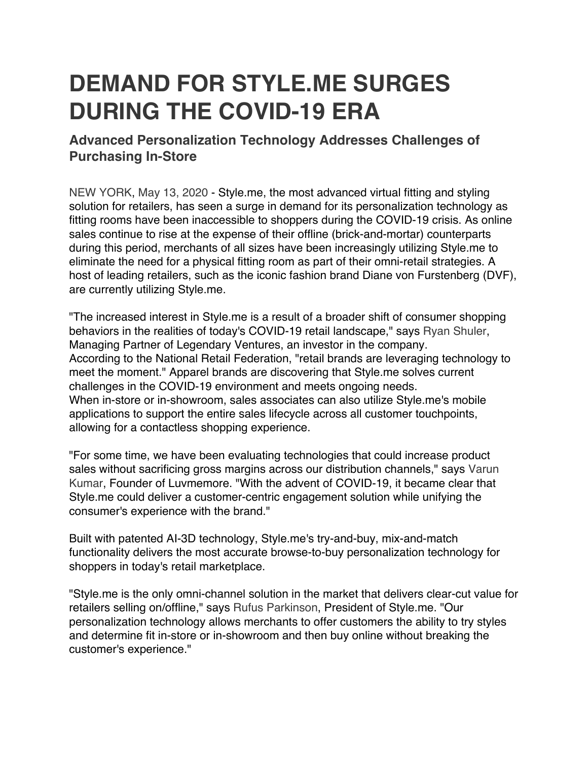## **DEMAND FOR STYLE.ME SURGES DURING THE COVID-19 ERA**

## **Advanced Personalization Technology Addresses Challenges of Purchasing In-Store**

NEW YORK, May 13, 2020 - Style.me, the most advanced virtual fitting and styling solution for retailers, has seen a surge in demand for its personalization technology as fitting rooms have been inaccessible to shoppers during the COVID-19 crisis. As online sales continue to rise at the expense of their offline (brick-and-mortar) counterparts during this period, merchants of all sizes have been increasingly utilizing Style.me to eliminate the need for a physical fitting room as part of their omni-retail strategies. A host of leading retailers, such as the iconic fashion brand Diane von Furstenberg (DVF), are currently utilizing Style.me.

"The increased interest in Style.me is a result of a broader shift of consumer shopping behaviors in the realities of today's COVID-19 retail landscape," says Ryan Shuler, Managing Partner of Legendary Ventures, an investor in the company. According to the National Retail Federation, "retail brands are leveraging technology to meet the moment." Apparel brands are discovering that Style.me solves current challenges in the COVID-19 environment and meets ongoing needs. When in-store or in-showroom, sales associates can also utilize Style.me's mobile applications to support the entire sales lifecycle across all customer touchpoints, allowing for a contactless shopping experience.

"For some time, we have been evaluating technologies that could increase product sales without sacrificing gross margins across our distribution channels," says Varun Kumar, Founder of Luvmemore. "With the advent of COVID-19, it became clear that Style.me could deliver a customer-centric engagement solution while unifying the consumer's experience with the brand."

Built with patented AI-3D technology, Style.me's try-and-buy, mix-and-match functionality delivers the most accurate browse-to-buy personalization technology for shoppers in today's retail marketplace.

"Style.me is the only omni-channel solution in the market that delivers clear-cut value for retailers selling on/offline," says Rufus Parkinson, President of Style.me. "Our personalization technology allows merchants to offer customers the ability to try styles and determine fit in-store or in-showroom and then buy online without breaking the customer's experience."